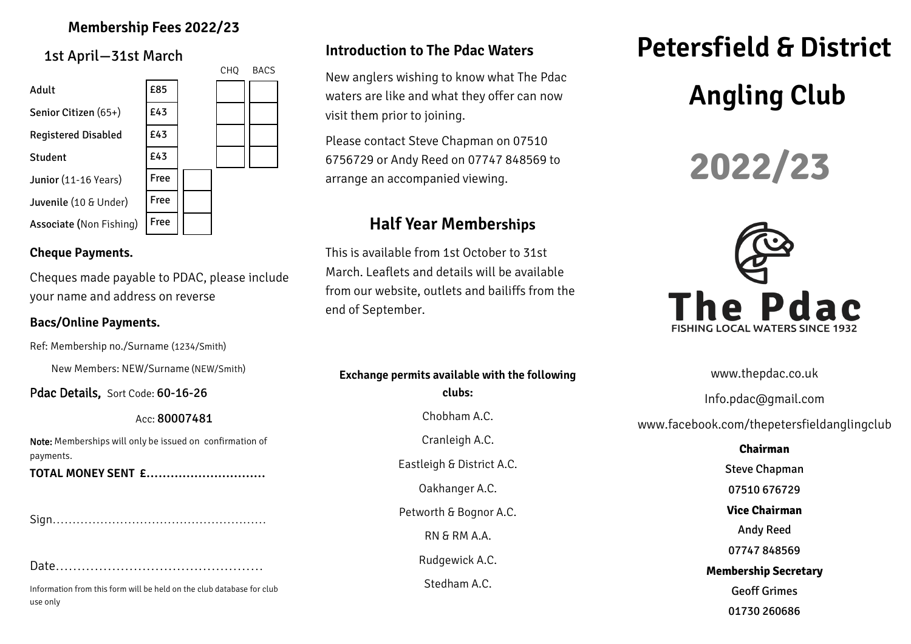## **Membership Fees 2022/23**

1st April—31st March



#### **Cheque Payments.**

Cheques made payable to PDAC, please include your name and address on reverse

#### **Bacs/Online Payments.**

Ref: Membership no./Surname (1234/Smith)

New Members: NEW/Surname (NEW/Smith)

Pdac Details, Sort Code: 60-16-26

Acc: 80007481

Note: Memberships will only be issued on confirmation of payments.

**TOTAL MONEY SENT £…………………………**

Sign………………………………………………

Date…………………………………………

Information from this form will be held on the club database for club use only

## **Introduction to The Pdac Waters**

New anglers wishing to know what The Pdac waters are like and what they offer can now visit them prior to joining.

Please contact Steve Chapman on 07510 6756729 or Andy Reed on 07747 848569 to arrange an accompanied viewing.

# **Half Year Memberships**

This is available from 1st October to 31st March. Leaflets and details will be available from our website, outlets and bailiffs from the end of September.

**Exchange permits available with the following clubs:** Chobham A.C. Cranleigh A.C. Eastleigh & District A.C. Oakhanger A.C. Petworth & Bognor A.C. RN & RM A.A. Rudgewick A.C. Stedham A.C.

# **Petersfield & District Angling Club**





www.thepdac.co.uk

Info.pdac@gmail.com

www.facebook.com/thepetersfieldanglingclub

**Chairman** Steve Chapman 07510 676729 **Vice Chairman** Andy Reed 07747 848569 **Membership Secretary** Geoff Grimes 01730 260686